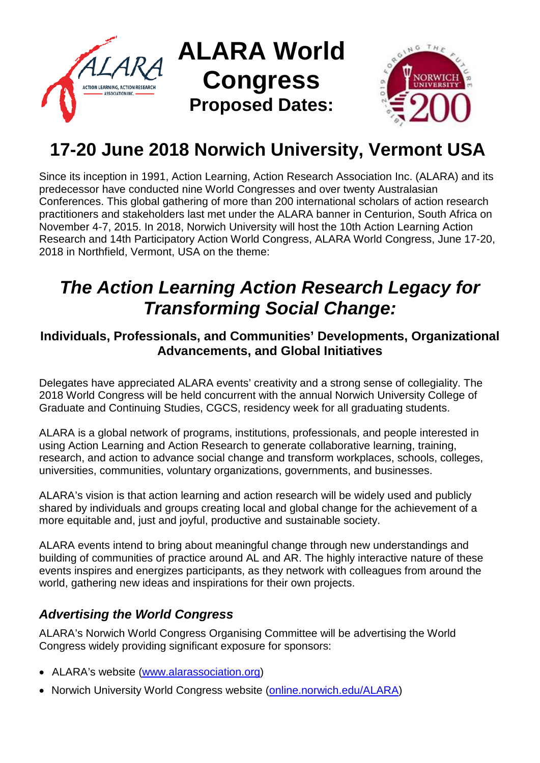

# **17-20 June 2018 Norwich University, Vermont USA**

Since its inception in 1991, Action Learning, Action Research Association Inc. (ALARA) and its predecessor have conducted nine World Congresses and over twenty Australasian Conferences. This global gathering of more than 200 international scholars of action research practitioners and stakeholders last met under the ALARA banner in Centurion, South Africa on November 4-7, 2015. In 2018, Norwich University will host the 10th Action Learning Action Research and 14th Participatory Action World Congress, ALARA World Congress, June 17-20, 2018 in Northfield, Vermont, USA on the theme:

# *The Action Learning Action Research Legacy for Transforming Social Change:*

### **Individuals, Professionals, and Communities' Developments, Organizational Advancements, and Global Initiatives**

Delegates have appreciated ALARA events' creativity and a strong sense of collegiality. The 2018 World Congress will be held concurrent with the annual Norwich University College of Graduate and Continuing Studies, CGCS, residency week for all graduating students.

ALARA is a global network of programs, institutions, professionals, and people interested in using Action Learning and Action Research to generate collaborative learning, training, research, and action to advance social change and transform workplaces, schools, colleges, universities, communities, voluntary organizations, governments, and businesses.

ALARA's vision is that action learning and action research will be widely used and publicly shared by individuals and groups creating local and global change for the achievement of a more equitable and, just and joyful, productive and sustainable society.

ALARA events intend to bring about meaningful change through new understandings and building of communities of practice around AL and AR. The highly interactive nature of these events inspires and energizes participants, as they network with colleagues from around the world, gathering new ideas and inspirations for their own projects.

# *Advertising the World Congress*

ALARA's Norwich World Congress Organising Committee will be advertising the World Congress widely providing significant exposure for sponsors:

- ALARA's website [\(www.alarassociation.org\)](http://www.alarassociation.org/)
- Norwich University World Congress website (online.norwich.edu/ALARA)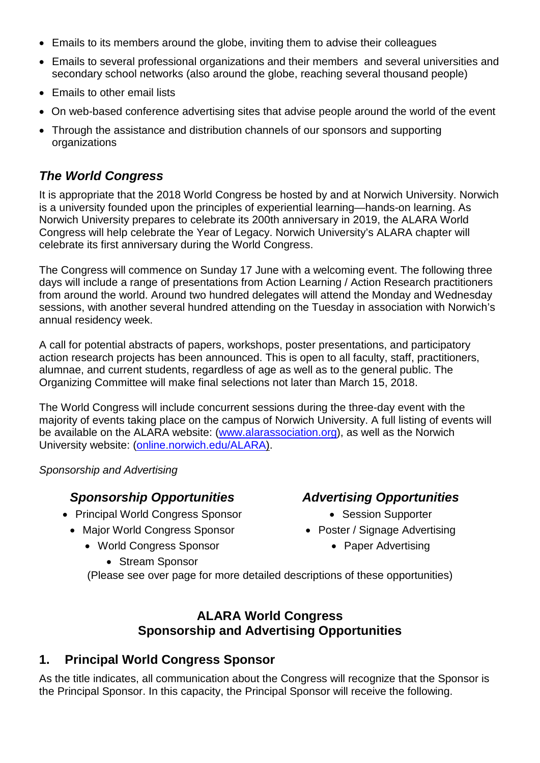- Emails to its members around the globe, inviting them to advise their colleagues
- Emails to several professional organizations and their members and several universities and secondary school networks (also around the globe, reaching several thousand people)
- Emails to other email lists
- On web-based conference advertising sites that advise people around the world of the event
- Through the assistance and distribution channels of our sponsors and supporting organizations

#### *The World Congress*

It is appropriate that the 2018 World Congress be hosted by and at Norwich University. Norwich is a university founded upon the principles of experiential learning—hands-on learning. As Norwich University prepares to celebrate its 200th anniversary in 2019, the ALARA World Congress will help celebrate the Year of Legacy. Norwich University's ALARA chapter will celebrate its first anniversary during the World Congress.

The Congress will commence on Sunday 17 June with a welcoming event. The following three days will include a range of presentations from Action Learning / Action Research practitioners from around the world. Around two hundred delegates will attend the Monday and Wednesday sessions, with another several hundred attending on the Tuesday in association with Norwich's annual residency week.

A call for potential abstracts of papers, workshops, poster presentations, and participatory action research projects has been announced. This is open to all faculty, staff, practitioners, alumnae, and current students, regardless of age as well as to the general public. The Organizing Committee will make final selections not later than March 15, 2018.

The World Congress will include concurrent sessions during the three-day event with the majority of events taking place on the campus of Norwich University. A full listing of events will be available on the ALARA website: [\(www.alarassociation.org\), as](http://www.alarassociation.org),as/) well as the Norwich University website: (online.norwich.edu/ALARA).

#### *Sponsorship and Advertising*

#### *Sponsorship Opportunities Advertising Opportunities*

- Principal World Congress Sponsor Session Supporter
	- Major World Congress Sponsor Poster / Signage Advertising
		- World Congress Sponsor Paper Advertising
			- Stream Sponsor

- 
- -

(Please see over page for more detailed descriptions of these opportunities)

#### **ALARA World Congress Sponsorship and Advertising Opportunities**

#### **1. Principal World Congress Sponsor**

As the title indicates, all communication about the Congress will recognize that the Sponsor is the Principal Sponsor. In this capacity, the Principal Sponsor will receive the following.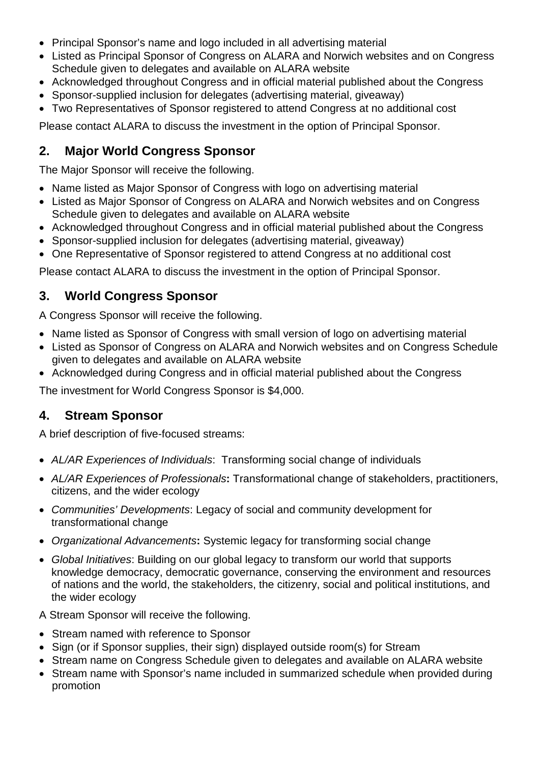- Principal Sponsor's name and logo included in all advertising material
- Listed as Principal Sponsor of Congress on ALARA and Norwich websites and on Congress Schedule given to delegates and available on ALARA website
- Acknowledged throughout Congress and in official material published about the Congress
- Sponsor-supplied inclusion for delegates (advertising material, giveaway)
- Two Representatives of Sponsor registered to attend Congress at no additional cost

Please contact ALARA to discuss the investment in the option of Principal Sponsor.

## **2. Major World Congress Sponsor**

The Major Sponsor will receive the following.

- Name listed as Major Sponsor of Congress with logo on advertising material
- Listed as Major Sponsor of Congress on ALARA and Norwich websites and on Congress Schedule given to delegates and available on ALARA website
- Acknowledged throughout Congress and in official material published about the Congress
- Sponsor-supplied inclusion for delegates (advertising material, giveaway)
- One Representative of Sponsor registered to attend Congress at no additional cost

Please contact ALARA to discuss the investment in the option of Principal Sponsor.

#### **3. World Congress Sponsor**

A Congress Sponsor will receive the following.

- Name listed as Sponsor of Congress with small version of logo on advertising material
- Listed as Sponsor of Congress on ALARA and Norwich websites and on Congress Schedule given to delegates and available on ALARA website
- Acknowledged during Congress and in official material published about the Congress

The investment for World Congress Sponsor is \$4,000.

#### **4. Stream Sponsor**

A brief description of five-focused streams:

- *AL/AR Experiences of Individuals*: Transforming social change of individuals
- *AL/AR Experiences of Professionals***:** Transformational change of stakeholders, practitioners, citizens, and the wider ecology
- *Communities' Developments*: Legacy of social and community development for transformational change
- *Organizational Advancements***:** Systemic legacy for transforming social change
- *Global Initiatives*: Building on our global legacy to transform our world that supports knowledge democracy, democratic governance, conserving the environment and resources of nations and the world, the stakeholders, the citizenry, social and political institutions, and the wider ecology

A Stream Sponsor will receive the following.

- Stream named with reference to Sponsor
- Sign (or if Sponsor supplies, their sign) displayed outside room(s) for Stream
- Stream name on Congress Schedule given to delegates and available on ALARA website
- Stream name with Sponsor's name included in summarized schedule when provided during promotion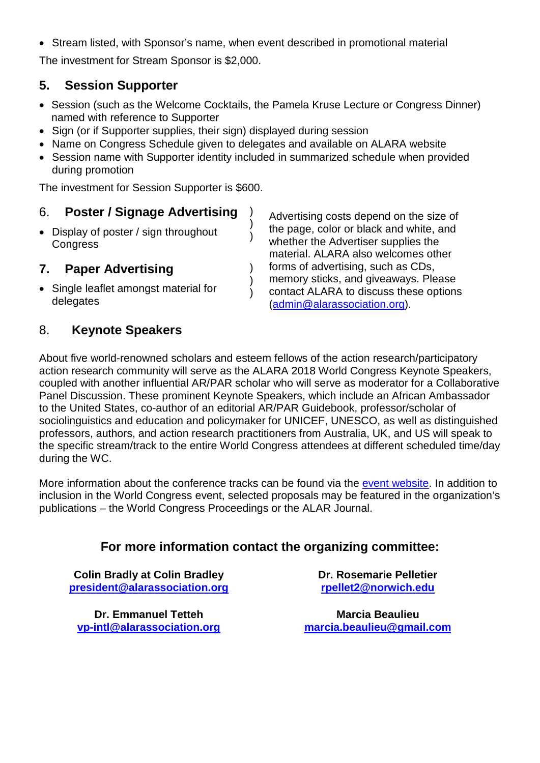• Stream listed, with Sponsor's name, when event described in promotional material

The investment for Stream Sponsor is \$2,000.

#### **5. Session Supporter**

- Session (such as the Welcome Cocktails, the Pamela Kruse Lecture or Congress Dinner) named with reference to Supporter
- Sign (or if Supporter supplies, their sign) displayed during session
- Name on Congress Schedule given to delegates and available on ALARA website
- Session name with Supporter identity included in summarized schedule when provided during promotion

) )  $\lambda$ 

) )  $\lambda$ 

The investment for Session Supporter is \$600.

#### 6. **Poster / Signage Advertising**

• Display of poster / sign throughout **Congress** 

#### **7. Paper Advertising**

• Single leaflet amongst material for delegates

Advertising costs depend on the size of the page, color or black and white, and whether the Advertiser supplies the material. ALARA also welcomes other forms of advertising, such as CDs, memory sticks, and giveaways. Please contact ALARA to discuss these options [\(admin@alarassociation.org\)](mailto:admin@alarassociation.org).

#### 8. **Keynote Speakers**

About five world-renowned scholars and esteem fellows of the action research/participatory action research community will serve as the ALARA 2018 World Congress Keynote Speakers, coupled with another influential AR/PAR scholar who will serve as moderator for a Collaborative Panel Discussion. These prominent Keynote Speakers, which include an African Ambassador to the United States, co-author of an editorial AR/PAR Guidebook, professor/scholar of sociolinguistics and education and policymaker for UNICEF, UNESCO, as well as distinguished professors, authors, and action research practitioners from Australia, UK, and US will speak to the specific stream/track to the entire World Congress attendees at different scheduled time/day during the WC.

More information about the conference tracks can be found via the [event website.](https://online.norwich.edu/alara) In addition to inclusion in the World Congress event, selected proposals may be featured in the organization's publications – the World Congress Proceedings or the ALAR Journal.

#### **For more information contact the organizing committee:**

**Colin Bradly at Colin Bradley [president@alarassociation.org](mailto:president@alarassociation.org)**

**Dr. Emmanuel Tetteh [vp-intl@alarassociation.org](mailto:vp-intl@alarassociation.org)** **Dr. Rosemarie Pelletier rpellet2@norwich.edu**

**Marcia Beaulieu marcia.beaulieu@gmail.com**